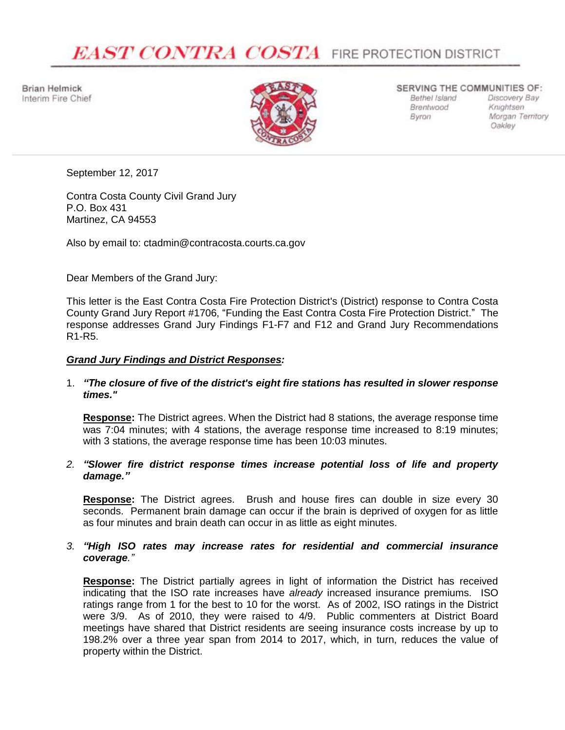# **EAST CONTRA COSTA** FIRE PROTECTION DISTRICT

**Brian Helmick** Interim Fire Chief



#### SERVING THE COMMUNITIES OF:

Brentwood **Byron** 

Bethel Island Discovery Bay Knightsen Morgan Territory Oakley

September 12, 2017

Contra Costa County Civil Grand Jury P.O. Box 431 Martinez, CA 94553

Also by email to: ctadmin@contracosta.courts.ca.gov

Dear Members of the Grand Jury:

This letter is the East Contra Costa Fire Protection District's (District) response to Contra Costa County Grand Jury Report #1706, "Funding the East Contra Costa Fire Protection District." The response addresses Grand Jury Findings F1-F7 and F12 and Grand Jury Recommendations R1-R5.

# *Grand Jury Findings and District Responses:*

# 1. *"The closure of five of the district's eight fire stations has resulted in slower response times."*

**Response:** The District agrees. When the District had 8 stations, the average response time was 7:04 minutes; with 4 stations, the average response time increased to 8:19 minutes; with 3 stations, the average response time has been 10:03 minutes.

# *2. "Slower fire district response times increase potential loss of life and property damage."*

**Response:** The District agrees. Brush and house fires can double in size every 30 seconds. Permanent brain damage can occur if the brain is deprived of oxygen for as little as four minutes and brain death can occur in as little as eight minutes.

# *3. "High ISO rates may increase rates for residential and commercial insurance coverage."*

**Response:** The District partially agrees in light of information the District has received indicating that the ISO rate increases have *already* increased insurance premiums. ISO ratings range from 1 for the best to 10 for the worst. As of 2002, ISO ratings in the District were 3/9. As of 2010, they were raised to 4/9. Public commenters at District Board meetings have shared that District residents are seeing insurance costs increase by up to 198.2% over a three year span from 2014 to 2017, which, in turn, reduces the value of property within the District.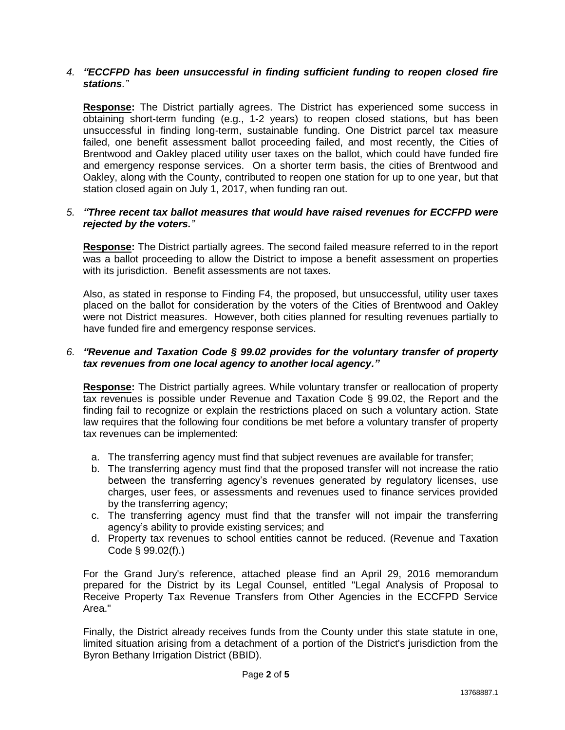## *4. "ECCFPD has been unsuccessful in finding sufficient funding to reopen closed fire stations."*

**Response:** The District partially agrees. The District has experienced some success in obtaining short-term funding (e.g., 1-2 years) to reopen closed stations, but has been unsuccessful in finding long-term, sustainable funding. One District parcel tax measure failed, one benefit assessment ballot proceeding failed, and most recently, the Cities of Brentwood and Oakley placed utility user taxes on the ballot, which could have funded fire and emergency response services. On a shorter term basis, the cities of Brentwood and Oakley, along with the County, contributed to reopen one station for up to one year, but that station closed again on July 1, 2017, when funding ran out.

# *5. "Three recent tax ballot measures that would have raised revenues for ECCFPD were rejected by the voters."*

**Response:** The District partially agrees. The second failed measure referred to in the report was a ballot proceeding to allow the District to impose a benefit assessment on properties with its jurisdiction. Benefit assessments are not taxes.

Also, as stated in response to Finding F4, the proposed, but unsuccessful, utility user taxes placed on the ballot for consideration by the voters of the Cities of Brentwood and Oakley were not District measures. However, both cities planned for resulting revenues partially to have funded fire and emergency response services.

## *6. "Revenue and Taxation Code § 99.02 provides for the voluntary transfer of property tax revenues from one local agency to another local agency."*

**Response:** The District partially agrees. While voluntary transfer or reallocation of property tax revenues is possible under Revenue and Taxation Code § 99.02, the Report and the finding fail to recognize or explain the restrictions placed on such a voluntary action. State law requires that the following four conditions be met before a voluntary transfer of property tax revenues can be implemented:

- a. The transferring agency must find that subject revenues are available for transfer;
- b. The transferring agency must find that the proposed transfer will not increase the ratio between the transferring agency's revenues generated by regulatory licenses, use charges, user fees, or assessments and revenues used to finance services provided by the transferring agency;
- c. The transferring agency must find that the transfer will not impair the transferring agency's ability to provide existing services; and
- d. Property tax revenues to school entities cannot be reduced. (Revenue and Taxation Code § 99.02(f).)

For the Grand Jury's reference, attached please find an April 29, 2016 memorandum prepared for the District by its Legal Counsel, entitled "Legal Analysis of Proposal to Receive Property Tax Revenue Transfers from Other Agencies in the ECCFPD Service Area."

Finally, the District already receives funds from the County under this state statute in one, limited situation arising from a detachment of a portion of the District's jurisdiction from the Byron Bethany Irrigation District (BBID).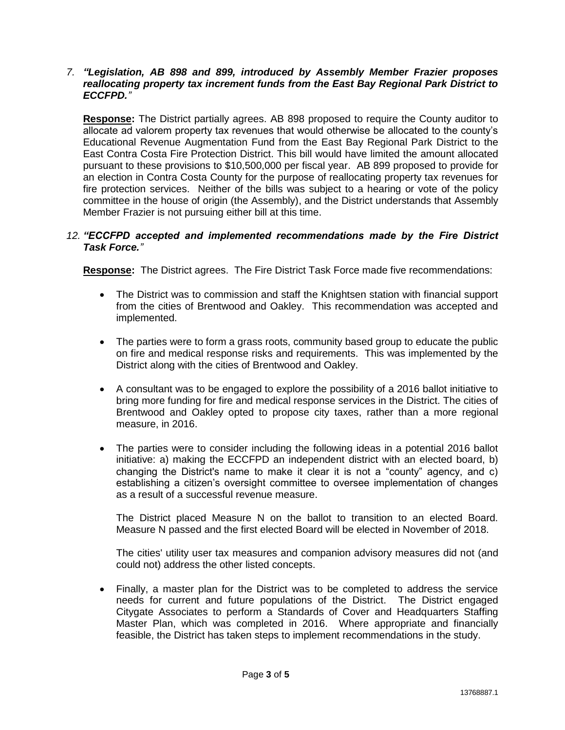#### *7. "Legislation, AB 898 and 899, introduced by Assembly Member Frazier proposes reallocating property tax increment funds from the East Bay Regional Park District to ECCFPD."*

**Response:** The District partially agrees. AB 898 proposed to require the County auditor to allocate ad valorem property tax revenues that would otherwise be allocated to the county's Educational Revenue Augmentation Fund from the East Bay Regional Park District to the East Contra Costa Fire Protection District. This bill would have limited the amount allocated pursuant to these provisions to \$10,500,000 per fiscal year. AB 899 proposed to provide for an election in Contra Costa County for the purpose of reallocating property tax revenues for fire protection services. Neither of the bills was subject to a hearing or vote of the policy committee in the house of origin (the Assembly), and the District understands that Assembly Member Frazier is not pursuing either bill at this time.

# *12. "ECCFPD accepted and implemented recommendations made by the Fire District Task Force."*

**Response:** The District agrees. The Fire District Task Force made five recommendations:

- The District was to commission and staff the Knightsen station with financial support from the cities of Brentwood and Oakley. This recommendation was accepted and implemented.
- The parties were to form a grass roots, community based group to educate the public on fire and medical response risks and requirements. This was implemented by the District along with the cities of Brentwood and Oakley.
- A consultant was to be engaged to explore the possibility of a 2016 ballot initiative to bring more funding for fire and medical response services in the District. The cities of Brentwood and Oakley opted to propose city taxes, rather than a more regional measure, in 2016.
- The parties were to consider including the following ideas in a potential 2016 ballot initiative: a) making the ECCFPD an independent district with an elected board, b) changing the District's name to make it clear it is not a "county" agency, and c) establishing a citizen's oversight committee to oversee implementation of changes as a result of a successful revenue measure.

The District placed Measure N on the ballot to transition to an elected Board. Measure N passed and the first elected Board will be elected in November of 2018.

The cities' utility user tax measures and companion advisory measures did not (and could not) address the other listed concepts.

 Finally, a master plan for the District was to be completed to address the service needs for current and future populations of the District. The District engaged Citygate Associates to perform a Standards of Cover and Headquarters Staffing Master Plan, which was completed in 2016. Where appropriate and financially feasible, the District has taken steps to implement recommendations in the study.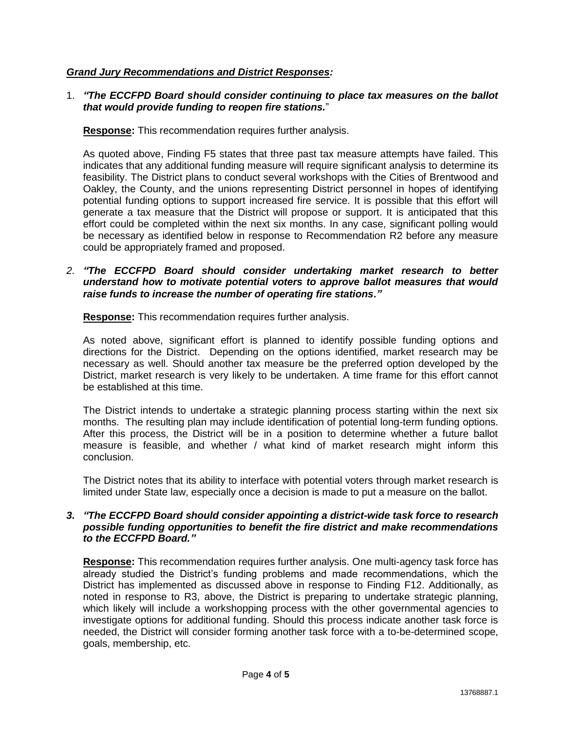# *Grand Jury Recommendations and District Responses:*

# 1. *"The ECCFPD Board should consider continuing to place tax measures on the ballot that would provide funding to reopen fire stations.*"

**Response:** This recommendation requires further analysis.

As quoted above, Finding F5 states that three past tax measure attempts have failed. This indicates that any additional funding measure will require significant analysis to determine its feasibility. The District plans to conduct several workshops with the Cities of Brentwood and Oakley, the County, and the unions representing District personnel in hopes of identifying potential funding options to support increased fire service. It is possible that this effort will generate a tax measure that the District will propose or support. It is anticipated that this effort could be completed within the next six months. In any case, significant polling would be necessary as identified below in response to Recommendation R2 before any measure could be appropriately framed and proposed.

# *2. "The ECCFPD Board should consider undertaking market research to better understand how to motivate potential voters to approve ballot measures that would raise funds to increase the number of operating fire stations."*

**Response:** This recommendation requires further analysis.

As noted above, significant effort is planned to identify possible funding options and directions for the District. Depending on the options identified, market research may be necessary as well. Should another tax measure be the preferred option developed by the District, market research is very likely to be undertaken. A time frame for this effort cannot be established at this time.

The District intends to undertake a strategic planning process starting within the next six months. The resulting plan may include identification of potential long-term funding options. After this process, the District will be in a position to determine whether a future ballot measure is feasible, and whether / what kind of market research might inform this conclusion.

The District notes that its ability to interface with potential voters through market research is limited under State law, especially once a decision is made to put a measure on the ballot.

# *3. "The ECCFPD Board should consider appointing a district-wide task force to research possible funding opportunities to benefit the fire district and make recommendations to the ECCFPD Board."*

**Response:** This recommendation requires further analysis. One multi-agency task force has already studied the District's funding problems and made recommendations, which the District has implemented as discussed above in response to Finding F12. Additionally, as noted in response to R3, above, the District is preparing to undertake strategic planning, which likely will include a workshopping process with the other governmental agencies to investigate options for additional funding. Should this process indicate another task force is needed, the District will consider forming another task force with a to-be-determined scope, goals, membership, etc.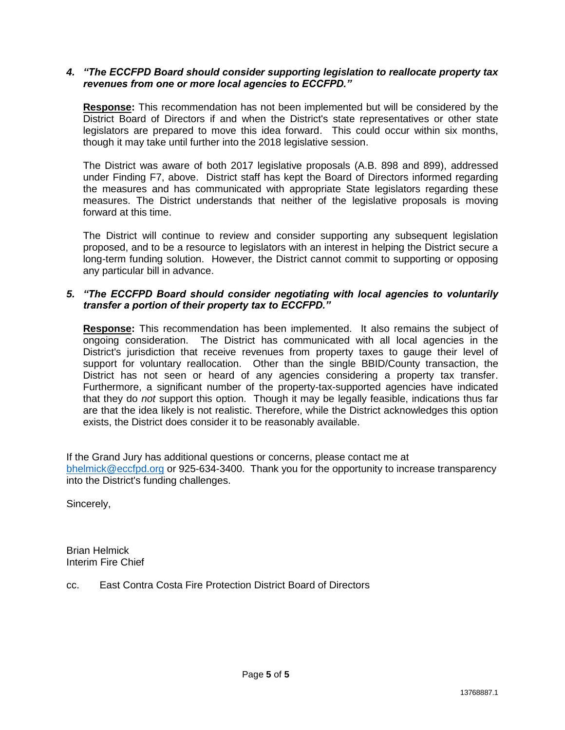#### *4. "The ECCFPD Board should consider supporting legislation to reallocate property tax revenues from one or more local agencies to ECCFPD."*

**Response:** This recommendation has not been implemented but will be considered by the District Board of Directors if and when the District's state representatives or other state legislators are prepared to move this idea forward. This could occur within six months, though it may take until further into the 2018 legislative session.

The District was aware of both 2017 legislative proposals (A.B. 898 and 899), addressed under Finding F7, above. District staff has kept the Board of Directors informed regarding the measures and has communicated with appropriate State legislators regarding these measures. The District understands that neither of the legislative proposals is moving forward at this time.

The District will continue to review and consider supporting any subsequent legislation proposed, and to be a resource to legislators with an interest in helping the District secure a long-term funding solution. However, the District cannot commit to supporting or opposing any particular bill in advance.

# *5. "The ECCFPD Board should consider negotiating with local agencies to voluntarily transfer a portion of their property tax to ECCFPD."*

**Response:** This recommendation has been implemented. It also remains the subject of ongoing consideration. The District has communicated with all local agencies in the District's jurisdiction that receive revenues from property taxes to gauge their level of support for voluntary reallocation. Other than the single BBID/County transaction, the District has not seen or heard of any agencies considering a property tax transfer. Furthermore, a significant number of the property-tax-supported agencies have indicated that they do *not* support this option. Though it may be legally feasible, indications thus far are that the idea likely is not realistic. Therefore, while the District acknowledges this option exists, the District does consider it to be reasonably available.

If the Grand Jury has additional questions or concerns, please contact me at [bhelmick@eccfpd.org](mailto:bhelmick@eccfpd.org) or 925-634-3400. Thank you for the opportunity to increase transparency into the District's funding challenges.

Sincerely,

Brian Helmick Interim Fire Chief

cc. East Contra Costa Fire Protection District Board of Directors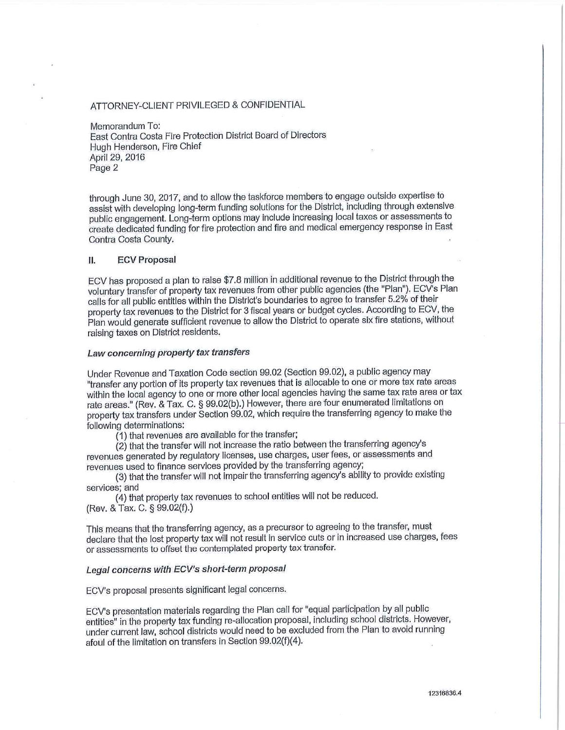#### ATTORNEY-CLIENT PRIVILEGED & CONFIDENTIAL

Memorandum To: East Contra Costa Fire Protection District Board of Directors Hugh Henderson, Fire Chief April 29, 2016 Page 2

through June 30, 2017, and to allow the taskforce members to engage outside expertise to assist with developing long-term funding solutions for the District, including through extensive public engagement. Long-term options may include increasing local taxes or assessments to create dedicated funding for fire protection and fire and medical emergency response in East Contra Costa County.

#### **ECV Proposal** II.

ECV has proposed a plan to raise \$7.8 million in additional revenue to the District through the voluntary transfer of property tax revenues from other public agencies (the "Plan"). ECV's Plan calls for all public entities within the District's boundaries to agree to transfer 5.2% of their property tax revenues to the District for 3 fiscal years or budget cycles. According to ECV, the Plan would generate sufficient revenue to allow the District to operate six fire stations, without raising taxes on District residents.

#### Law concerning property tax transfers

Under Revenue and Taxation Code section 99.02 (Section 99.02), a public agency may "transfer any portion of its property tax revenues that is allocable to one or more tax rate areas within the local agency to one or more other local agencies having the same tax rate area or tax rate areas." (Rev. & Tax. C. § 99.02(b).) However, there are four enumerated limitations on property tax transfers under Section 99.02, which require the transferring agency to make the following determinations:

(1) that revenues are available for the transfer;

(2) that the transfer will not increase the ratio between the transferring agency's revenues generated by regulatory licenses, use charges, user fees, or assessments and revenues used to finance services provided by the transferring agency;

(3) that the transfer will not impair the transferring agency's ability to provide existing services; and

(4) that property tax revenues to school entities will not be reduced. (Rev. & Tax. C. § 99.02(f).)

This means that the transferring agency, as a precursor to agreeing to the transfer, must declare that the lost property tax will not result in service cuts or in increased use charges, fees or assessments to offset the contemplated property tax transfer.

#### Legal concerns with ECV's short-term proposal

ECV's proposal presents significant legal concerns.

ECV's presentation materials regarding the Plan call for "equal participation by all public entities" in the property tax funding re-allocation proposal, including school districts. However, under current law, school districts would need to be excluded from the Plan to avoid running afoul of the limitation on transfers in Section 99.02(f)(4).